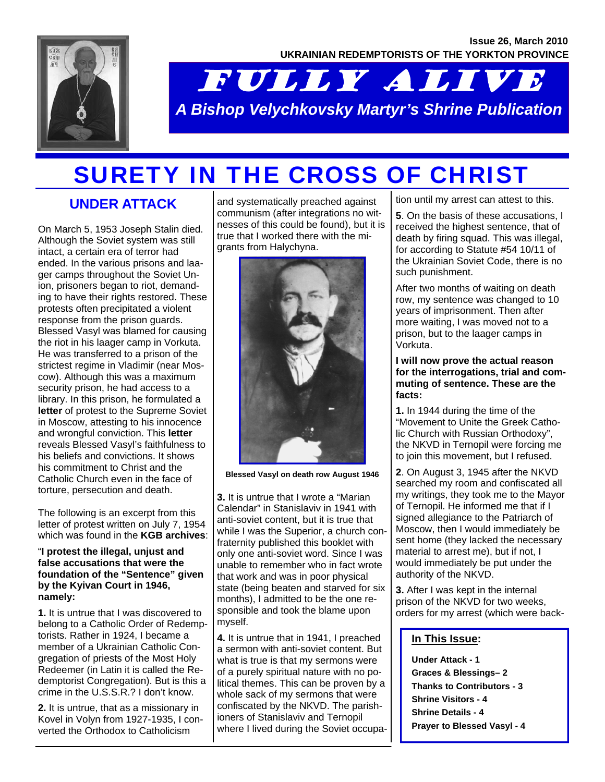

# FULLY ALIVE *A Bishop Velychkovsky Martyr's Shrine Publication*

## SURETY IN THE CROSS OF CHRIST

### **UNDER ATTACK**

On March 5, 1953 Joseph Stalin died. Although the Soviet system was still intact, a certain era of terror had ended. In the various prisons and laager camps throughout the Soviet Union, prisoners began to riot, demanding to have their rights restored. These protests often precipitated a violent response from the prison guards. Blessed Vasyl was blamed for causing the riot in his laager camp in Vorkuta. He was transferred to a prison of the strictest regime in Vladimir (near Moscow). Although this was a maximum security prison, he had access to a library. In this prison, he formulated a **letter** of protest to the Supreme Soviet in Moscow, attesting to his innocence and wrongful conviction. This **letter**  reveals Blessed Vasyl's faithfulness to his beliefs and convictions. It shows his commitment to Christ and the Catholic Church even in the face of torture, persecution and death.

The following is an excerpt from this letter of protest written on July 7, 1954 which was found in the **KGB archives**:

#### "**I protest the illegal, unjust and false accusations that were the foundation of the "Sentence" given by the Kyivan Court in 1946, namely:**

**1.** It is untrue that I was discovered to belong to a Catholic Order of Redemptorists. Rather in 1924, I became a member of a Ukrainian Catholic Congregation of priests of the Most Holy Redeemer (in Latin it is called the Redemptorist Congregation). But is this a crime in the U.S.S.R.? I don't know.

**2.** It is untrue, that as a missionary in Kovel in Volyn from 1927-1935, I converted the Orthodox to Catholicism

and systematically preached against communism (after integrations no witnesses of this could be found), but it is true that I worked there with the migrants from Halychyna.



**Blessed Vasyl on death row August 1946** 

**3.** It is untrue that I wrote a "Marian Calendar" in Stanislaviv in 1941 with anti-soviet content, but it is true that while I was the Superior, a church confraternity published this booklet with only one anti-soviet word. Since I was unable to remember who in fact wrote that work and was in poor physical state (being beaten and starved for six months), I admitted to be the one responsible and took the blame upon myself.

**4.** It is untrue that in 1941, I preached a sermon with anti-soviet content. But what is true is that my sermons were of a purely spiritual nature with no political themes. This can be proven by a whole sack of my sermons that were confiscated by the NKVD. The parishioners of Stanislaviv and Ternopil where I lived during the Soviet occupation until my arrest can attest to this.

**5**. On the basis of these accusations, I received the highest sentence, that of death by firing squad. This was illegal, for according to Statute #54 10/11 of the Ukrainian Soviet Code, there is no such punishment.

After two months of waiting on death row, my sentence was changed to 10 years of imprisonment. Then after more waiting, I was moved not to a prison, but to the laager camps in Vorkuta.

#### **I will now prove the actual reason for the interrogations, trial and commuting of sentence. These are the facts:**

**1.** In 1944 during the time of the "Movement to Unite the Greek Catholic Church with Russian Orthodoxy", the NKVD in Ternopil were forcing me to join this movement, but I refused.

**2**. On August 3, 1945 after the NKVD searched my room and confiscated all my writings, they took me to the Mayor of Ternopil. He informed me that if I signed allegiance to the Patriarch of Moscow, then I would immediately be sent home (they lacked the necessary material to arrest me), but if not, I would immediately be put under the authority of the NKVD.

**3.** After I was kept in the internal prison of the NKVD for two weeks, orders for my arrest (which were back-

#### **In This Issue:**

**Under Attack - 1 Graces & Blessings– 2 Thanks to Contributors - 3 Shrine Visitors - 4 Shrine Details - 4 Prayer to Blessed Vasyl - 4**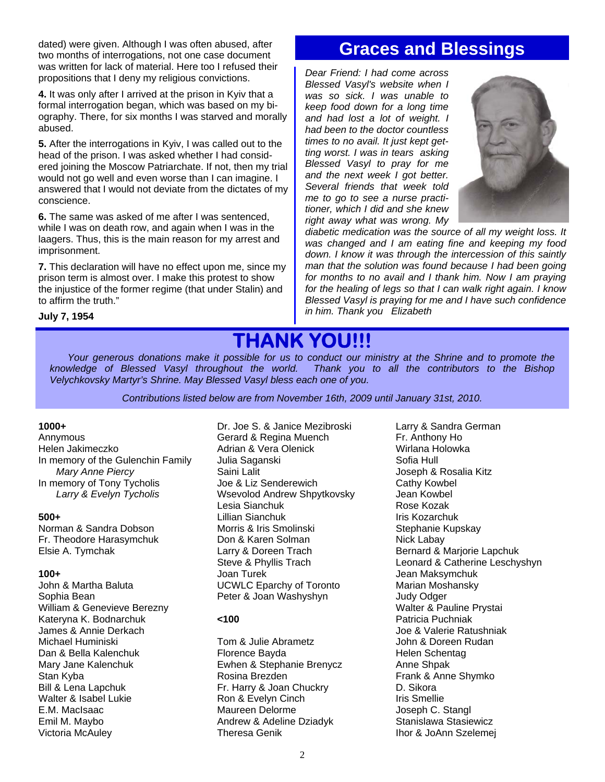dated) were given. Although I was often abused, after two months of interrogations, not one case document was written for lack of material. Here too I refused their propositions that I deny my religious convictions.

**4.** It was only after I arrived at the prison in Kyiv that a formal interrogation began, which was based on my biography. There, for six months I was starved and morally abused.

**5.** After the interrogations in Kyiv, I was called out to the head of the prison. I was asked whether I had considered joining the Moscow Patriarchate. If not, then my trial would not go well and even worse than I can imagine. I answered that I would not deviate from the dictates of my conscience.

**6.** The same was asked of me after I was sentenced, while I was on death row, and again when I was in the laagers. Thus, this is the main reason for my arrest and imprisonment.

**7.** This declaration will have no effect upon me, since my prison term is almost over. I make this protest to show the injustice of the former regime (that under Stalin) and to affirm the truth."

### **Graces and Blessings**

*Dear Friend: I had come across Blessed Vasyl's website when I was so sick. I was unable to keep food down for a long time and had lost a lot of weight. I had been to the doctor countless times to no avail. It just kept getting worst. I was in tears asking Blessed Vasyl to pray for me and the next week I got better. Several friends that week told me to go to see a nurse practitioner, which I did and she knew right away what was wrong. My* 



*diabetic medication was the source of all my weight loss. It was changed and I am eating fine and keeping my food down. I know it was through the intercession of this saintly man that the solution was found because I had been going for months to no avail and I thank him. Now I am praying for the healing of legs so that I can walk right again. I know Blessed Vasyl is praying for me and I have such confidence in him. Thank you Elizabeth* 

## **THANK YOU!!!**

*Your generous donations make it possible for us to conduct our ministry at the Shrine and to promote the knowledge of Blessed Vasyl throughout the world. Thank you to all the contributors to the Bishop Velychkovsky Martyr's Shrine. May Blessed Vasyl bless each one of you.* 

*Contributions listed below are from November 16th, 2009 until January 31st, 2010.* 

#### **1000+**

**July 7, 1954** 

Annymous Helen Jakimeczko In memory of the Gulenchin Family *Mary Anne Piercy*  In memory of Tony Tycholis *Larry & Evelyn Tycholis* 

#### **500+**

Norman & Sandra Dobson Fr. Theodore Harasymchuk Elsie A. Tymchak

#### **100+**

John & Martha Baluta Sophia Bean William & Genevieve Berezny Kateryna K. Bodnarchuk James & Annie Derkach Michael Huminiski Dan & Bella Kalenchuk Mary Jane Kalenchuk Stan Kyba Bill & Lena Lapchuk Walter & Isabel Lukie E.M. MacIsaac Emil M. Maybo Victoria McAuley

Dr. Joe S. & Janice Mezibroski Gerard & Regina Muench Adrian & Vera Olenick Julia Saganski Saini Lalit Joe & Liz Senderewich Wsevolod Andrew Shpytkovsky Lesia Sianchuk Lillian Sianchuk Morris & Iris Smolinski Don & Karen Solman Larry & Doreen Trach Steve & Phyllis Trach Joan Turek UCWLC Eparchy of Toronto Peter & Joan Washyshyn

#### **<100**

Tom & Julie Abrametz Florence Bayda Ewhen & Stephanie Brenycz Rosina Brezden Fr. Harry & Joan Chuckry Ron & Evelyn Cinch Maureen Delorme Andrew & Adeline Dziadyk Theresa Genik

Larry & Sandra German Fr. Anthony Ho Wirlana Holowka Sofia Hull Joseph & Rosalia Kitz Cathy Kowbel Jean Kowbel Rose Kozak Iris Kozarchuk Stephanie Kupskay Nick Labay Bernard & Marjorie Lapchuk Leonard & Catherine Leschyshyn Jean Maksymchuk Marian Moshansky Judy Odger Walter & Pauline Prystai Patricia Puchniak Joe & Valerie Ratushniak John & Doreen Rudan Helen Schentag Anne Shpak Frank & Anne Shymko D. Sikora Iris Smellie Joseph C. Stangl Stanislawa Stasiewicz Ihor & JoAnn Szelemej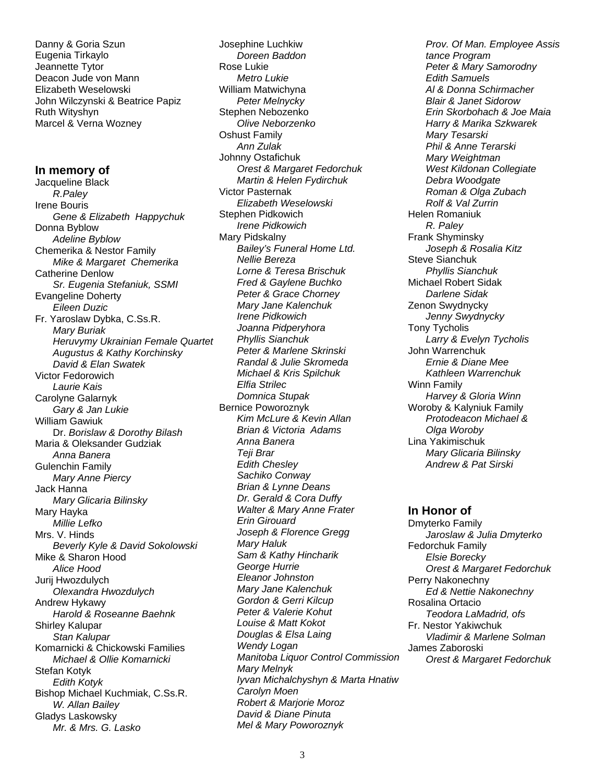Danny & Goria Szun Eugenia Tirkaylo Jeannette Tytor Deacon Jude von Mann Elizabeth Weselowski John Wilczynski & Beatrice Papiz Ruth Wityshyn Marcel & Verna Wozney

#### **In memory of**

Jacqueline Black *R.Paley* Irene Bouris *Gene & Elizabeth Happychuk*  Donna Byblow *Adeline Byblow*  Chemerika & Nestor Family *Mike & Margaret Chemerika*  Catherine Denlow *Sr. Eugenia Stefaniuk, SSMI*  Evangeline Doherty  *Eileen Duzic*  Fr. Yaroslaw Dybka, C.Ss.R. *Mary Buriak Heruvymy Ukrainian Female Quartet Augustus & Kathy Korchinsky David & Elan Swatek*  Victor Fedorowich *Laurie Kais*  Carolyne Galarnyk *Gary & Jan Lukie*  William Gawiuk Dr. *Borislaw & Dorothy Bilash*  Maria & Oleksander Gudziak *Anna Banera*  Gulenchin Family *Mary Anne Piercy*  Jack Hanna  *Mary Glicaria Bilinsky*  Mary Hayka  *Millie Lefko*  Mrs. V. Hinds  *Beverly Kyle & David Sokolowski*  Mike & Sharon Hood  *Alice Hood*  Jurij Hwozdulych  *Olexandra Hwozdulych*  Andrew Hykawy *Harold & Roseanne Baehnk*  Shirley Kalupar *Stan Kalupar*  Komarnicki & Chickowski Families *Michael & Ollie Komarnicki*  Stefan Kotyk *Edith Kotyk*  Bishop Michael Kuchmiak, C.Ss.R. *W. Allan Bailey*  Gladys Laskowsky *Mr. & Mrs. G. Lasko* 

Josephine Luchkiw *Doreen Baddon* Rose Lukie *Metro Lukie*  William Matwichyna *Peter Melnycky*  Stephen Nebozenko *Olive Neborzenko* Oshust Family *Ann Zulak* Johnny Ostafichuk *Orest & Margaret Fedorchuk Martin & Helen Fydirchuk*  Victor Pasternak *Elizabeth Weselowski*  Stephen Pidkowich *Irene Pidkowich* Mary Pidskalny *Bailey's Funeral Home Ltd. Nellie Bereza Lorne & Teresa Brischuk Fred & Gaylene Buchko Peter & Grace Chorney Mary Jane Kalenchuk Irene Pidkowich Joanna Pidperyhora Phyllis Sianchuk Peter & Marlene Skrinski Randal & Julie Skromeda Michael & Kris Spilchuk Elfia Strilec Domnica Stupak*  Bernice Poworoznyk *Kim McLure & Kevin Allan Brian & Victoria Adams Anna Banera Teji Brar Edith Chesley Sachiko Conway Brian & Lynne Deans Dr. Gerald & Cora Duffy Walter & Mary Anne Frater Erin Girouard Joseph & Florence Gregg Mary Haluk Sam & Kathy Hincharik George Hurrie Eleanor Johnston Mary Jane Kalenchuk Gordon & Gerri Kilcup Peter & Valerie Kohut Louise & Matt Kokot Douglas & Elsa Laing Wendy Logan Manitoba Liquor Control Commission Mary Melnyk Iyvan Michalchyshyn & Marta Hnatiw Carolyn Moen Robert & Marjorie Moroz David & Diane Pinuta Mel & Mary Poworoznyk* 

 *Prov. Of Man. Employee Assis tance Program Peter & Mary Samorodny Edith Samuels Al & Donna Schirmacher Blair & Janet Sidorow Erin Skorbohach & Joe Maia Harry & Marika Szkwarek Mary Tesarski Phil & Anne Terarski Mary Weightman West Kildonan Collegiate Debra Woodgate Roman & Olga Zubach Rolf & Val Zurrin*  Helen Romaniuk *R. Paley*  Frank Shyminsky  *Joseph & Rosalia Kitz*  Steve Sianchuk *Phyllis Sianchuk*  Michael Robert Sidak  *Darlene Sidak*  Zenon Swydnycky *Jenny Swydnycky*  Tony Tycholis *Larry & Evelyn Tycholis*  John Warrenchuk *Ernie & Diane Mee Kathleen Warrenchuk*  Winn Family *Harvey & Gloria Winn*  Woroby & Kalyniuk Family *Protodeacon Michael & Olga Woroby*  Lina Yakimischuk *Mary Glicaria Bilinsky Andrew & Pat Sirski* 

#### **In Honor of**

Dmyterko Family *Jaroslaw & Julia Dmyterko*  Fedorchuk Family *Elsie Borecky Orest & Margaret Fedorchuk*  Perry Nakonechny *Ed & Nettie Nakonechny*  Rosalina Ortacio *Teodora LaMadrid, ofs*  Fr. Nestor Yakiwchuk *Vladimir & Marlene Solman*  James Zaboroski *Orest & Margaret Fedorchuk*